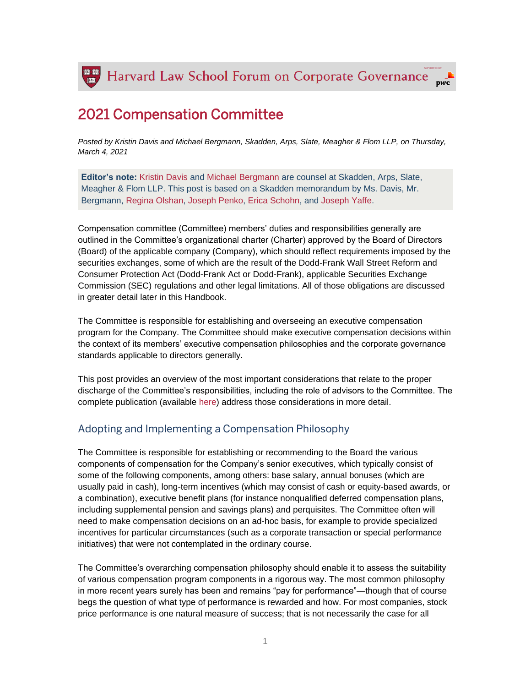

# 2021 Compensation Committee

*Posted by Kristin Davis and Michael Bergmann, Skadden, Arps, Slate, Meagher & Flom LLP, on Thursday, March 4, 2021*

**Editor's note:** [Kristin](https://www.skadden.com/professionals/d/davis-kristin-m) Davis and [Michael Bergmann](https://www.skadden.com/professionals/b/bergmann-michael-r) are counsel at Skadden, Arps, Slate, Meagher & Flom LLP. This post is based on a Skadden memorandum by Ms. Davis, Mr. Bergmann, [Regina Olshan,](https://www.skadden.com/professionals/o/olshan-regina) [Joseph Penko,](https://www.skadden.com/professionals/p/penko-joseph-m) [Erica Schohn,](https://www.skadden.com/professionals/s/schohn-erica) and [Joseph Yaffe.](https://www.skadden.com/professionals/y/yaffe-joseph-m)

Compensation committee (Committee) members' duties and responsibilities generally are outlined in the Committee's organizational charter (Charter) approved by the Board of Directors (Board) of the applicable company (Company), which should reflect requirements imposed by the securities exchanges, some of which are the result of the Dodd-Frank Wall Street Reform and Consumer Protection Act (Dodd-Frank Act or Dodd-Frank), applicable Securities Exchange Commission (SEC) regulations and other legal limitations. All of those obligations are discussed in greater detail later in this Handbook.

The Committee is responsible for establishing and overseeing an executive compensation program for the Company. The Committee should make executive compensation decisions within the context of its members' executive compensation philosophies and the corporate governance standards applicable to directors generally.

This post provides an overview of the most important considerations that relate to the proper discharge of the Committee's responsibilities, including the role of advisors to the Committee. The complete publication (available [here\)](https://www.skadden.com/insights/publications/2021/02/2021-compensation-committee-handbook?sid=adafb333-aa73-4b57-9f34-1ff9d81c6af0) address those considerations in more detail.

### Adopting and Implementing a Compensation Philosophy

The Committee is responsible for establishing or recommending to the Board the various components of compensation for the Company's senior executives, which typically consist of some of the following components, among others: base salary, annual bonuses (which are usually paid in cash), long-term incentives (which may consist of cash or equity-based awards, or a combination), executive benefit plans (for instance nonqualified deferred compensation plans, including supplemental pension and savings plans) and perquisites. The Committee often will need to make compensation decisions on an ad-hoc basis, for example to provide specialized incentives for particular circumstances (such as a corporate transaction or special performance initiatives) that were not contemplated in the ordinary course.

The Committee's overarching compensation philosophy should enable it to assess the suitability of various compensation program components in a rigorous way. The most common philosophy in more recent years surely has been and remains "pay for performance"—though that of course begs the question of what type of performance is rewarded and how. For most companies, stock price performance is one natural measure of success; that is not necessarily the case for all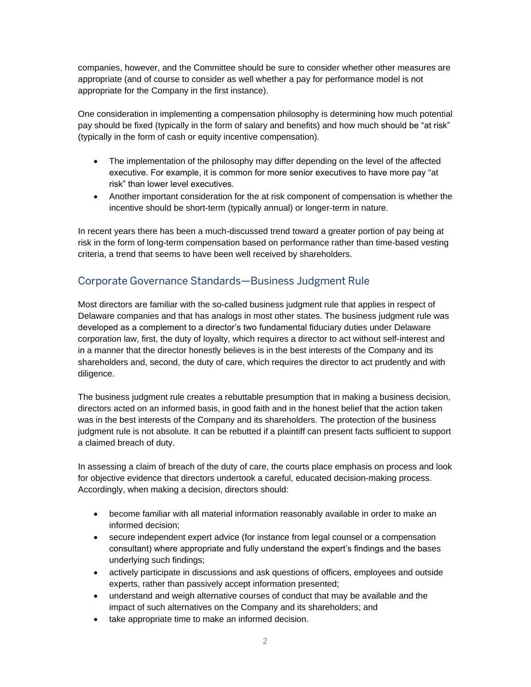companies, however, and the Committee should be sure to consider whether other measures are appropriate (and of course to consider as well whether a pay for performance model is not appropriate for the Company in the first instance).

One consideration in implementing a compensation philosophy is determining how much potential pay should be fixed (typically in the form of salary and benefits) and how much should be "at risk" (typically in the form of cash or equity incentive compensation).

- The implementation of the philosophy may differ depending on the level of the affected executive. For example, it is common for more senior executives to have more pay "at risk" than lower level executives.
- Another important consideration for the at risk component of compensation is whether the incentive should be short-term (typically annual) or longer-term in nature.

In recent years there has been a much-discussed trend toward a greater portion of pay being at risk in the form of long-term compensation based on performance rather than time-based vesting criteria, a trend that seems to have been well received by shareholders.

## Corporate Governance Standards—Business Judgment Rule

Most directors are familiar with the so-called business judgment rule that applies in respect of Delaware companies and that has analogs in most other states. The business judgment rule was developed as a complement to a director's two fundamental fiduciary duties under Delaware corporation law, first, the duty of loyalty, which requires a director to act without self-interest and in a manner that the director honestly believes is in the best interests of the Company and its shareholders and, second, the duty of care, which requires the director to act prudently and with diligence.

The business judgment rule creates a rebuttable presumption that in making a business decision, directors acted on an informed basis, in good faith and in the honest belief that the action taken was in the best interests of the Company and its shareholders. The protection of the business judgment rule is not absolute. It can be rebutted if a plaintiff can present facts sufficient to support a claimed breach of duty.

In assessing a claim of breach of the duty of care, the courts place emphasis on process and look for objective evidence that directors undertook a careful, educated decision-making process. Accordingly, when making a decision, directors should:

- become familiar with all material information reasonably available in order to make an informed decision;
- secure independent expert advice (for instance from legal counsel or a compensation consultant) where appropriate and fully understand the expert's findings and the bases underlying such findings;
- actively participate in discussions and ask questions of officers, employees and outside experts, rather than passively accept information presented;
- understand and weigh alternative courses of conduct that may be available and the impact of such alternatives on the Company and its shareholders; and
- take appropriate time to make an informed decision.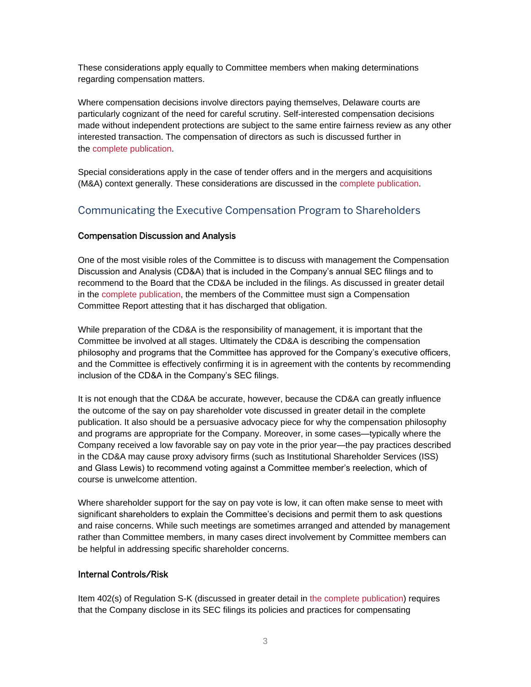These considerations apply equally to Committee members when making determinations regarding compensation matters.

Where compensation decisions involve directors paying themselves, Delaware courts are particularly cognizant of the need for careful scrutiny. Self-interested compensation decisions made without independent protections are subject to the same entire fairness review as any other interested transaction. The compensation of directors as such is discussed further in the [complete publication.](https://www.skadden.com/insights/publications/2021/02/2021-compensation-committee-handbook?sid=adafb333-aa73-4b57-9f34-1ff9d81c6af0)

Special considerations apply in the case of tender offers and in the mergers and acquisitions (M&A) context generally. These considerations are discussed in the [complete publication.](https://www.skadden.com/insights/publications/2021/02/2021-compensation-committee-handbook?sid=adafb333-aa73-4b57-9f34-1ff9d81c6af0)

## Communicating the Executive Compensation Program to Shareholders

#### Compensation Discussion and Analysis

One of the most visible roles of the Committee is to discuss with management the Compensation Discussion and Analysis (CD&A) that is included in the Company's annual SEC filings and to recommend to the Board that the CD&A be included in the filings. As discussed in greater detail in the [complete publication,](https://www.skadden.com/insights/publications/2021/02/2021-compensation-committee-handbook?sid=adafb333-aa73-4b57-9f34-1ff9d81c6af0) the members of the Committee must sign a Compensation Committee Report attesting that it has discharged that obligation.

While preparation of the CD&A is the responsibility of management, it is important that the Committee be involved at all stages. Ultimately the CD&A is describing the compensation philosophy and programs that the Committee has approved for the Company's executive officers, and the Committee is effectively confirming it is in agreement with the contents by recommending inclusion of the CD&A in the Company's SEC filings.

It is not enough that the CD&A be accurate, however, because the CD&A can greatly influence the outcome of the say on pay shareholder vote discussed in greater detail in the complete publication. It also should be a persuasive advocacy piece for why the compensation philosophy and programs are appropriate for the Company. Moreover, in some cases—typically where the Company received a low favorable say on pay vote in the prior year—the pay practices described in the CD&A may cause proxy advisory firms (such as Institutional Shareholder Services (ISS) and Glass Lewis) to recommend voting against a Committee member's reelection, which of course is unwelcome attention.

Where shareholder support for the say on pay vote is low, it can often make sense to meet with significant shareholders to explain the Committee's decisions and permit them to ask questions and raise concerns. While such meetings are sometimes arranged and attended by management rather than Committee members, in many cases direct involvement by Committee members can be helpful in addressing specific shareholder concerns.

#### Internal Controls/Risk

Item 402(s) of Regulation S-K (discussed in greater detail in [the complete publication\)](https://www.skadden.com/insights/publications/2021/02/2021-compensation-committee-handbook?sid=adafb333-aa73-4b57-9f34-1ff9d81c6af0) requires that the Company disclose in its SEC filings its policies and practices for compensating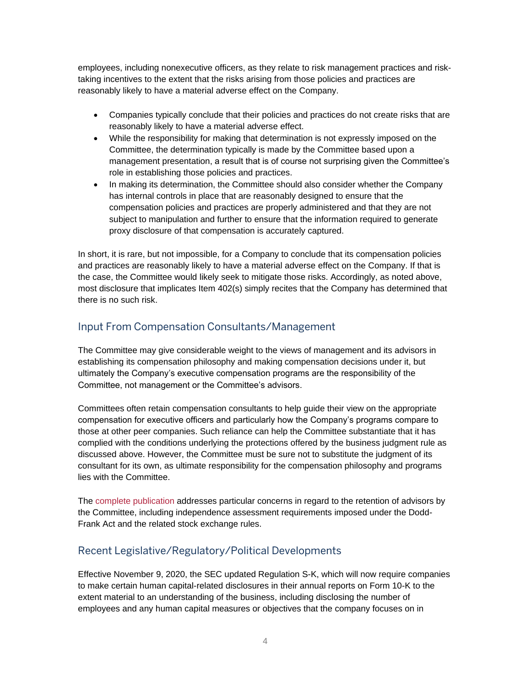employees, including nonexecutive officers, as they relate to risk management practices and risktaking incentives to the extent that the risks arising from those policies and practices are reasonably likely to have a material adverse effect on the Company.

- Companies typically conclude that their policies and practices do not create risks that are reasonably likely to have a material adverse effect.
- While the responsibility for making that determination is not expressly imposed on the Committee, the determination typically is made by the Committee based upon a management presentation, a result that is of course not surprising given the Committee's role in establishing those policies and practices.
- In making its determination, the Committee should also consider whether the Company has internal controls in place that are reasonably designed to ensure that the compensation policies and practices are properly administered and that they are not subject to manipulation and further to ensure that the information required to generate proxy disclosure of that compensation is accurately captured.

In short, it is rare, but not impossible, for a Company to conclude that its compensation policies and practices are reasonably likely to have a material adverse effect on the Company. If that is the case, the Committee would likely seek to mitigate those risks. Accordingly, as noted above, most disclosure that implicates Item 402(s) simply recites that the Company has determined that there is no such risk.

### Input From Compensation Consultants/Management

The Committee may give considerable weight to the views of management and its advisors in establishing its compensation philosophy and making compensation decisions under it, but ultimately the Company's executive compensation programs are the responsibility of the Committee, not management or the Committee's advisors.

Committees often retain compensation consultants to help guide their view on the appropriate compensation for executive officers and particularly how the Company's programs compare to those at other peer companies. Such reliance can help the Committee substantiate that it has complied with the conditions underlying the protections offered by the business judgment rule as discussed above. However, the Committee must be sure not to substitute the judgment of its consultant for its own, as ultimate responsibility for the compensation philosophy and programs lies with the Committee.

The [complete publication](https://www.skadden.com/insights/publications/2021/02/2021-compensation-committee-handbook?sid=adafb333-aa73-4b57-9f34-1ff9d81c6af0) addresses particular concerns in regard to the retention of advisors by the Committee, including independence assessment requirements imposed under the Dodd-Frank Act and the related stock exchange rules.

## Recent Legislative/Regulatory/Political Developments

Effective November 9, 2020, the SEC updated Regulation S-K, which will now require companies to make certain human capital-related disclosures in their annual reports on Form 10-K to the extent material to an understanding of the business, including disclosing the number of employees and any human capital measures or objectives that the company focuses on in